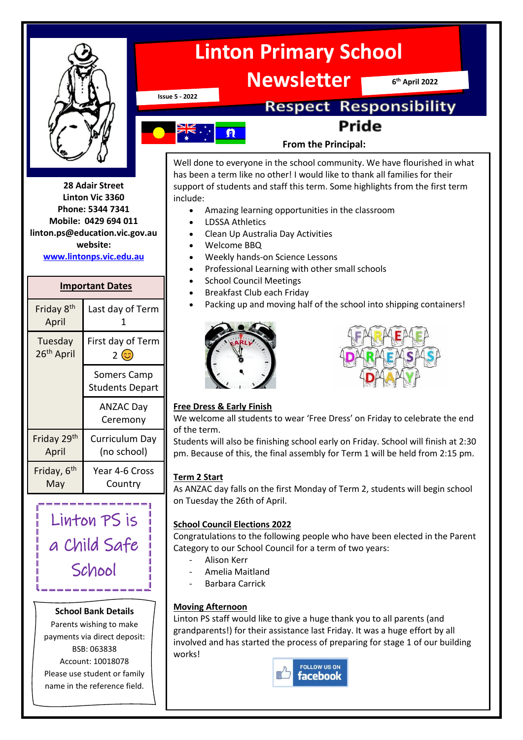

**28 Adair Street Linton Vic 3360 Phone: 5344 7341 Mobile: 0429 694 011 linton.ps@education.vic.gov.au website: [www.lintonps.vic.edu.au](http://www.lintonps.vic.edu.au/)**

#### **Important Dates**

| Friday 8 <sup>th</sup><br>April   | Last day of Term                      |
|-----------------------------------|---------------------------------------|
| Tuesday<br>26 <sup>th</sup> April | First day of Term<br>2 ©              |
|                                   | Somers Camp<br><b>Students Depart</b> |
|                                   | <b>ANZAC Day</b><br>Ceremony          |
| Friday 29th<br>April              | Curriculum Day<br>(no school)         |
| Friday, 6 <sup>th</sup><br>May    | Year 4-6 Cross<br>Country             |
|                                   |                                       |

Linton PS is a Child Safe School

#### **School Bank Details**

Parents wishing to make payments via direct deposit: BSB: 063838 Account: 10018078 Please use student or family name in the reference field.



**Issue 5 - 2022**

## **Respect Responsibility Pride**



#### **From the Principal:**

Well done to everyone in the school community. We have flourished in what has been a term like no other! I would like to thank all families for their support of students and staff this term. Some highlights from the first term include:

- Amazing learning opportunities in the classroom
- LDSSA Athletics
- Clean Up Australia Day Activities
- Welcome BBQ
- Weekly hands-on Science Lessons
- Professional Learning with other small schools
- School Council Meetings
- Breakfast Club each Friday
- Packing up and moving half of the school into shipping containers!





#### **Free Dress & Early Finish**

We welcome all students to wear 'Free Dress' on Friday to celebrate the end of the term.

Students will also be finishing school early on Friday. School will finish at 2:30 pm. Because of this, the final assembly for Term 1 will be held from 2:15 pm.

#### **Term 2 Start**

As ANZAC day falls on the first Monday of Term 2, students will begin school on Tuesday the 26th of April.

#### **School Council Elections 2022**

Congratulations to the following people who have been elected in the Parent Category to our School Council for a term of two years:

- Alison Kerr
- Amelia Maitland
- Barbara Carrick

#### **Moving Afternoon**

Linton PS staff would like to give a huge thank you to all parents (and grandparents!) for their assistance last Friday. It was a huge effort by all involved and has started the process of preparing for stage 1 of our building works!

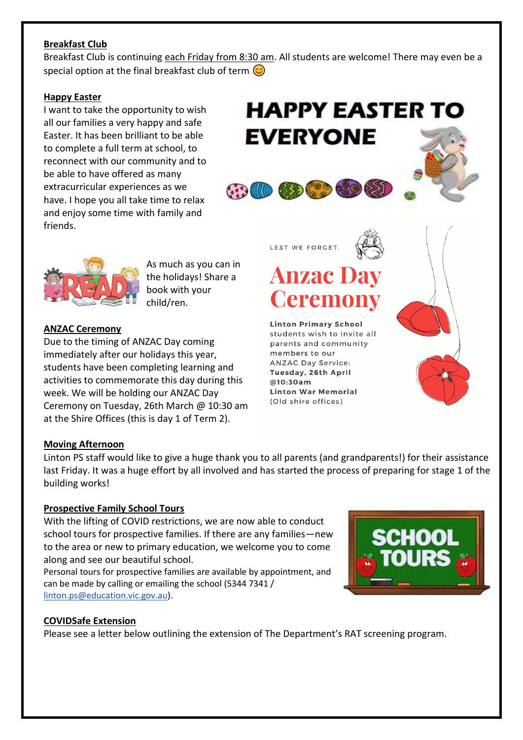#### **Breakfast Club**

Breakfast Club is continuing each Friday from 8:30 am. All students are welcome! There may even be a special option at the final breakfast club of term  $\odot$ 

#### **Happy Easter**

I want to take the opportunity to wish all our families a very happy and safe Easter. It has been brilliant to be able to complete a full term at school, to reconnect with our community and to be able to have offered as many extracurricular experiences as we have. I hope you all take time to relax and enjoy some time with family and friends.





As much as you can in the holidays! Share a book with your child/ren.

#### **ANZAC Ceremony**

Due to the timing of ANZAC Day coming immediately after our holidays this year, students have been completing learning and activities to commemorate this day during this week. We will be holding our ANZAC Day Ceremony on Tuesday, 26th March @ 10:30 am at the Shire Offices (this is day 1 of Term 2).

### LEST WE FORGET.

# **Anzac Day Ceremony**

**Linton Primary School** students wish to invite all parents and community members to our **ANZAC Day Service:** Tuesday, 26th April  $@10:30am$ **Linton War Memorial** (Old shire offices)

#### **Moving Afternoon**

Linton PS staff would like to give a huge thank you to all parents (and grandparents!) for their assistance last Friday. It was a huge effort by all involved and has started the process of preparing for stage 1 of the building works!

#### **Prospective Family School Tours**

With the lifting of COVID restrictions, we are now able to conduct school tours for prospective families. If there are any families—new to the area or new to primary education, we welcome you to come along and see our beautiful school.

Personal tours for prospective families are available by appointment, and can be made by calling or emailing the school (5344 7341 / [linton.ps@education.vic.gov.au\)](mailto:linton.ps@education.vic.gov.au).



#### **COVIDSafe Extension**

Please see a letter below outlining the extension of The Department's RAT screening program.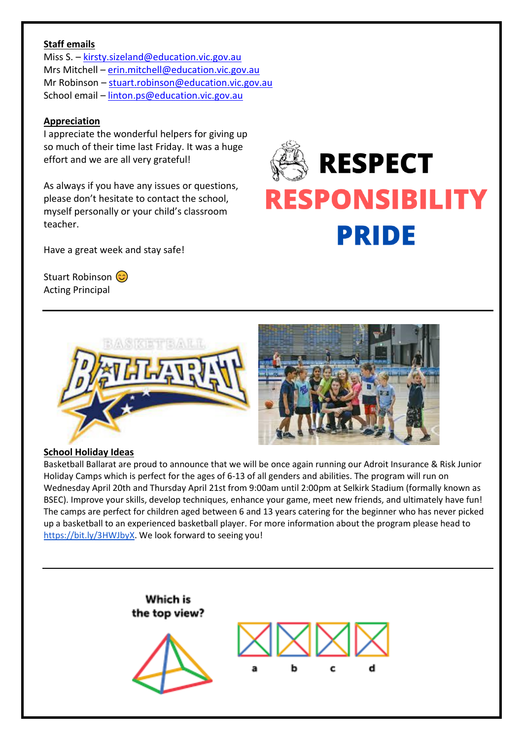#### **Staff emails**

Miss S. – [kirsty.sizeland@education.vic.gov.au](mailto:kirsty.sizeland@education.vic.gov.au) Mrs Mitchell – [erin.mitchell@education.vic.gov.au](mailto:erin.mitchell@education.vic.gov.au) Mr Robinson – [stuart.robinson@education.vic.gov.au](mailto:stuart.robinson@education.vic.gov.au) School email – [linton.ps@education.vic.gov.au](mailto:linton.ps@education.vic.gov.au)

#### **Appreciation**

I appreciate the wonderful helpers for giving up so much of their time last Friday. It was a huge effort and we are all very grateful!

As always if you have any issues or questions, please don't hesitate to contact the school, myself personally or your child's classroom teacher.

Have a great week and stay safe!

Stuart Robinson (C) Acting Principal

# **RESPECT ESPONSIBILIT PRIDE**



#### **School Holiday Ideas**

Basketball Ballarat are proud to announce that we will be once again running our Adroit Insurance & Risk Junior Holiday Camps which is perfect for the ages of 6-13 of all genders and abilities. The program will run on Wednesday April 20th and Thursday April 21st from 9:00am until 2:00pm at Selkirk Stadium (formally known as BSEC). Improve your skills, develop techniques, enhance your game, meet new friends, and ultimately have fun! The camps are perfect for children aged between 6 and 13 years catering for the beginner who has never picked up a basketball to an experienced basketball player. For more information about the program please head to [https://bit.ly/3HWJbyX.](https://bit.ly/3HWJbyX) We look forward to seeing you!

> Which is the top view? C.